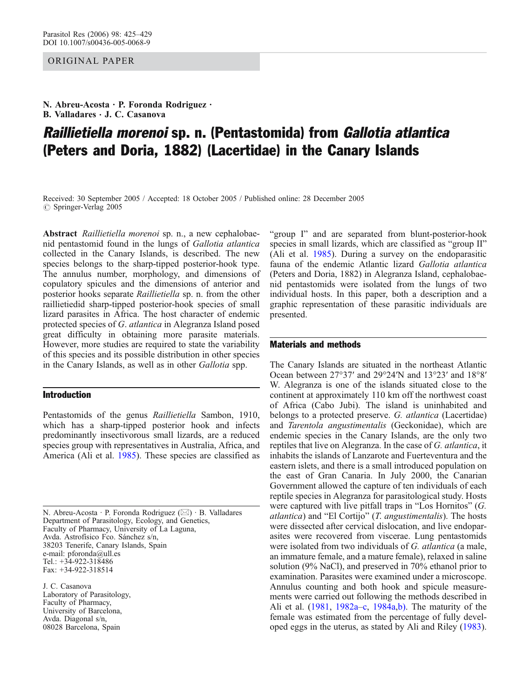## OR IG INAL PAPER

N. Abreu-Acosta . P. Foronda Rodriguez . B. Valladares  $\cdot$  J. C. Casanova

# Raillietiella morenoi sp. n. (Pentastomida) from Gallotia atlantica (Peters and Doria, 1882) (Lacertidae) in the Canary Islands

Received: 30 September 2005 / Accepted: 18 October 2005 / Published online: 28 December 2005  $\circ$  Springer-Verlag 2005

Abstract Raillietiella morenoi sp. n., a new cephalobaenid pentastomid found in the lungs of Gallotia atlantica collected in the Canary Islands, is described. The new species belongs to the sharp-tipped posterior-hook type. The annulus number, morphology, and dimensions of copulatory spicules and the dimensions of anterior and posterior hooks separate Raillietiella sp. n. from the other raillietiedid sharp-tipped posterior-hook species of small lizard parasites in Africa. The host character of endemic protected species of G. atlantica in Alegranza Island posed great difficulty in obtaining more parasite materials. However, more studies are required to state the variability of this species and its possible distribution in other species in the Canary Islands, as well as in other Gallotia spp.

### Introduction

Pentastomids of the genus Raillietiella Sambon, 1910, which has a sharp-tipped posterior hook and infects predominantly insectivorous small lizards, are a reduced species group with representatives in Australia, Africa, and America (Ali et al. [1985](#page-4-0)). These species are classified as

N. Abreu-Acosta . P. Foronda Rodriguez (*\**) . B. Valladares Department of Parasitology, Ecology, and Genetics, Faculty of Pharmacy, University of La Laguna, Avda. Astrofísico Fco. Sánchez s/n, 38203 Tenerife, Canary Islands, Spain e-mail: pforonda@ull.es Tel.: +34-922-318486 Fax: +34-922-318514

J. C. Casanova Laboratory of Parasitology, Faculty of Pharmacy, University of Barcelona, Avda. Diagonal s/n, 08028 Barcelona, Spain

"group I" and are separated from blunt-posterior-hook species in small lizards, which are classified as "group II" (Ali et al. [1985\)](#page-4-0). During a survey on the endoparasitic fauna of the endemic Atlantic lizard Gallotia atlantica (Peters and Doria, 1882) in Alegranza Island, cephalobaenid pentastomids were isolated from the lungs of two individual hosts. In this paper, both a description and a graphic representation of these parasitic individuals are presented.

#### Materials and methods

The Canary Islands are situated in the northeast Atlantic Ocean between 27°37′ and 29°24′N and 13°23′ and 18°8′ W. Alegranza is one of the islands situated close to the continent at approximately 110 km off the northwest coast of Africa (Cabo Jubi). The island is uninhabited and belongs to a protected preserve. G. atlantica (Lacertidae) and Tarentola angustimentalis (Geckonidae), which are endemic species in the Canary Islands, are the only two reptiles that live on Alegranza. In the case of G. atlantica, it inhabits the islands of Lanzarote and Fuerteventura and the eastern islets, and there is a small introduced population on the east of Gran Canaria. In July 2000, the Canarian Government allowed the capture of ten individuals of each reptile species in Alegranza for parasitological study. Hosts were captured with live pitfall traps in "Los Hornitos" (G. *atlantica*) and "El Cortijo"  $(T.$  *angustimentalis*). The hosts were dissected after cervical dislocation, and live endoparasites were recovered from viscerae. Lung pentastomids were isolated from two individuals of G. atlantica (a male, an immature female, and a mature female), relaxed in saline solution (9% NaCl), and preserved in 70% ethanol prior to examination. Parasites were examined under a microscope. Annulus counting and both hook and spicule measurements were carried out following the methods described in Ali et al. ([1981](#page-4-0), [1982a](#page-4-0)–[c](#page-4-0), [1984a,b\).](#page-4-0) The maturity of the female was estimated from the percentage of fully developed eggs in the uterus, as stated by Ali and Riley [\(1983](#page-4-0)).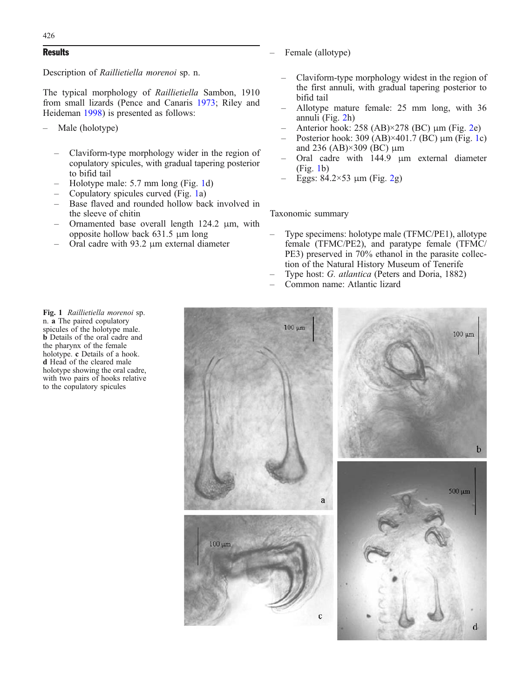#### **Results**

Description of Raillietiella morenoi sp. n.

The typical morphology of Raillietiella Sambon, 1910 from small lizards (Pence and Canaris [1973](#page-4-0); Riley and Heideman [1998\)](#page-4-0) is presented as follows:

- Male (holotype)
	- Claviform-type morphology wider in the region of copulatory spicules, with gradual tapering posterior to bifid tail
	- Holotype male: 5.7 mm long (Fig. 1d)
	- Copulatory spicules curved (Fig. 1a)
	- Base flaved and rounded hollow back involved in the sleeve of chitin
	- Ornamented base overall length 124.2 μm, with opposite hollow back 631.5 μm long
	- Oral cadre with 93.2 μm external diameter
- Female (allotype)
- Claviform-type morphology widest in the region of the first annuli, with gradual tapering posterior to bifid tail
- Allotype mature female: 25 mm long, with 36 annuli (Fig. [2](#page-2-0)h)
- Anterior hook: 258 (AB)×278 (BC) μm (Fig. [2e](#page-2-0))
- Posterior hook: 309 (AB) $\times$ 401.7 (BC)  $\mu$ m (Fig. 1c) and 236 (AB) $\times$ 309 (BC)  $\mu$ m
- Oral cadre with 144.9 μm external diameter (Fig. 1b)
- Eggs:  $84.2 \times 53$  $84.2 \times 53$  $84.2 \times 53$  μm (Fig. 2g)

Taxonomic summary

- Type specimens: holotype male (TFMC/PE1), allotype female (TFMC/PE2), and paratype female (TFMC/ PE3) preserved in 70% ethanol in the parasite collection of the Natural History Museum of Tenerife
- Type host: G. atlantica (Peters and Doria, 1882)
- Common name: Atlantic lizard



Fig. 1 Raillietiella morenoi sp. n. a The paired copulatory spicules of the holotype male. **b** Details of the oral cadre and the pharynx of the female holotype. c Details of a hook. d Head of the cleared male holotype showing the oral cadre, with two pairs of hooks relative to the copulatory spicules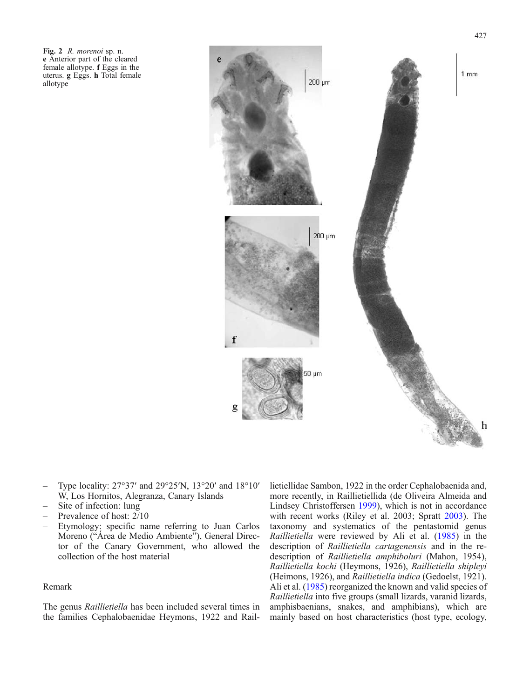<span id="page-2-0"></span>Fig. 2 R. morenoi sp. n. e Anterior part of the cleared female allotype. f Eggs in the uterus. g Eggs. h Total female allotype



- Type locality: 27°37′ and 29°25′N, 13°20′ and 18°10′ W, Los Hornitos, Alegranza, Canary Islands
- Site of infection: lung
- Prevalence of host:  $2/10$
- Etymology: specific name referring to Juan Carlos Moreno ("Área de Medio Ambiente"), General Director of the Canary Government, who allowed the collection of the host material

#### Remark

The genus Raillietiella has been included several times in the families Cephalobaenidae Heymons, 1922 and Raillietiellidae Sambon, 1922 in the order Cephalobaenida and, more recently, in Raillietiellida (de Oliveira Almeida and Lindsey Christoffersen [1999\)](#page-4-0), which is not in accordance with recent works (Riley et al. 2003; Spratt [2003](#page-4-0)). The taxonomy and systematics of the pentastomid genus Raillietiella were reviewed by Ali et al. [\(1985](#page-4-0)) in the description of Raillietiella cartagenensis and in the redescription of Raillietiella amphiboluri (Mahon, 1954), Raillietiella kochi (Heymons, 1926), Raillietiella shipleyi (Heimons, 1926), and Raillietiella indica (Gedoelst, 1921). Ali et al. ([1985\)](#page-4-0) reorganized the known and valid species of Raillietiella into five groups (small lizards, varanid lizards, amphisbaenians, snakes, and amphibians), which are mainly based on host characteristics (host type, ecology,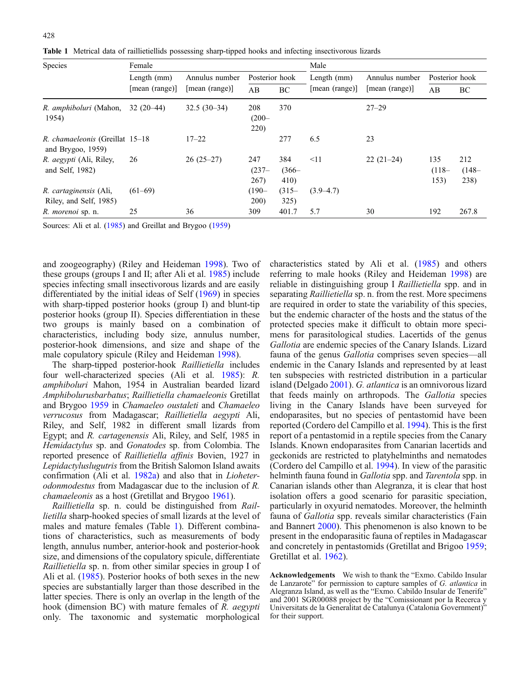|  |  |  |  |  |  |  |  | Table 1 Metrical data of raillietiellids possessing sharp-tipped hooks and infecting insectivorous lizards |  |
|--|--|--|--|--|--|--|--|------------------------------------------------------------------------------------------------------------|--|
|--|--|--|--|--|--|--|--|------------------------------------------------------------------------------------------------------------|--|

| <b>Species</b>                                          | Female         |                | Male                    |                         |                |                |                         |                         |
|---------------------------------------------------------|----------------|----------------|-------------------------|-------------------------|----------------|----------------|-------------------------|-------------------------|
|                                                         | Length $(mm)$  | Annulus number | Posterior hook          |                         | Length (mm)    | Annulus number | Posterior hook          |                         |
|                                                         | [mean (range)] | [mean (range)] | AB                      | BC                      | [mean (range)] | [mean (range)] | AB                      | BC                      |
| R. <i>amphiboluri</i> (Mahon,<br>1954)                  | $32(20-44)$    | $32.5(30-34)$  | 208<br>$(200 -$<br>220) | 370                     |                | $27 - 29$      |                         |                         |
| R. chamaeleonis (Greillat 15–18<br>and Brygoo, $1959$ ) |                | $17 - 22$      |                         | 277                     | 6.5            | 23             |                         |                         |
| R. <i>aegypti</i> (Ali, Riley,<br>and Self, 1982)       | 26             | $26(25-27)$    | 247<br>$(237 -$<br>267) | 384<br>$(366 -$<br>410) | $\leq$ 11      | $22(21-24)$    | 135<br>$(118 -$<br>153) | 212<br>$(148 -$<br>238) |
| R. cartaginensis (Ali,<br>Riley, and Self, 1985)        | $(61-69)$      |                | $(190 -$<br>200)        | $(315 -$<br>325)        | $(3.9 - 4.7)$  |                |                         |                         |
| R. <i>morenoi</i> sp. n.                                | 25             | 36             | 309                     | 401.7                   | 5.7            | 30             | 192                     | 267.8                   |

Sources: Ali et al. ([1985\)](#page-4-0) and Greillat and Brygoo ([1959\)](#page-4-0)

and zoogeography) (Riley and Heideman [1998\)](#page-4-0). Two of these groups (groups I and II; after Ali et al. [1985](#page-4-0)) include species infecting small insectivorous lizards and are easily differentiated by the initial ideas of Self [\(1969](#page-4-0)) in species with sharp-tipped posterior hooks (group I) and blunt-tip posterior hooks (group II). Species differentiation in these two groups is mainly based on a combination of characteristics, including body size, annulus number, posterior-hook dimensions, and size and shape of the male copulatory spicule (Riley and Heideman [1998](#page-4-0)).

The sharp-tipped posterior-hook Raillietiella includes four well-characterized species (Ali et al. [1985](#page-4-0)): R. amphiboluri Mahon, 1954 in Australian bearded lizard Amphibolurusbarbatus; Raillietiella chamaeleonis Gretillat and Brygoo [1959](#page-4-0) in Chamaeleo oustaleti and Chamaeleo verrucosus from Madagascar; Raillietiella aegypti Ali, Riley, and Self, 1982 in different small lizards from Egypt; and R. cartagenensis Ali, Riley, and Self, 1985 in Hemidactylus sp. and Gonatodes sp. from Colombia. The reported presence of Raillietiella affinis Bovien, 1927 in Lepidactyluslugutris from the British Salomon Island awaits confirmation (Ali et al. [1982a\)](#page-4-0) and also that in Lioheterodonmodestus from Madagascar due to the inclusion of R. chamaeleonis as a host (Gretillat and Brygoo [1961\)](#page-4-0).

Raillietiella sp. n. could be distinguished from Raillietilla sharp-hooked species of small lizards at the level of males and mature females (Table 1). Different combinations of characteristics, such as measurements of body length, annulus number, anterior-hook and posterior-hook size, and dimensions of the copulatory spicule, differentiate Raillietiella sp. n. from other similar species in group I of Ali et al. [\(1985](#page-4-0)). Posterior hooks of both sexes in the new species are substantially larger than those described in the latter species. There is only an overlap in the length of the hook (dimension BC) with mature females of R. *aegypti* only. The taxonomic and systematic morphological

characteristics stated by Ali et al. ([1985](#page-4-0)) and others referring to male hooks (Riley and Heideman [1998\)](#page-4-0) are reliable in distinguishing group I Raillietiella spp. and in separating *Raillietiella* sp. n. from the rest. More specimens are required in order to state the variability of this species, but the endemic character of the hosts and the status of the protected species make it difficult to obtain more specimens for parasitological studies. Lacertids of the genus Gallotia are endemic species of the Canary Islands. Lizard fauna of the genus Gallotia comprises seven species—all endemic in the Canary Islands and represented by at least ten subspecies with restricted distribution in a particular island (Delgado [2001\)](#page-4-0). G. atlantica is an omnivorous lizard that feeds mainly on arthropods. The Gallotia species living in the Canary Islands have been surveyed for endoparasites, but no species of pentastomid have been reported (Cordero del Campillo et al. [1994\)](#page-4-0). This is the first report of a pentastomid in a reptile species from the Canary Islands. Known endoparasites from Canarian lacertids and geckonids are restricted to platyhelminths and nematodes (Cordero del Campillo et al. [1994](#page-4-0)). In view of the parasitic helminth fauna found in *Gallotia* spp. and *Tarentola* spp. in Canarian islands other than Alegranza, it is clear that host isolation offers a good scenario for parasitic speciation, particularly in oxyurid nematodes. Moreover, the helminth fauna of Gallotia spp. reveals similar characteristics (Fain and Bannert [2000](#page-4-0)). This phenomenon is also known to be present in the endoparasitic fauna of reptiles in Madagascar and concretely in pentastomids (Gretillat and Brigoo [1959](#page-4-0); Gretillat et al. [1962](#page-4-0)).

Acknowledgements We wish to thank the "Exmo. Cabildo Insular de Lanzarote" for permission to capture samples of G. atlantica in Alegranza Island, as well as the "Exmo. Cabildo Insular de Tenerife" and 2001 SGR00088 project by the "Comissionant por la Recerca y Universitats de la Generalitat de Catalunya (Catalonia Government)" for their support.